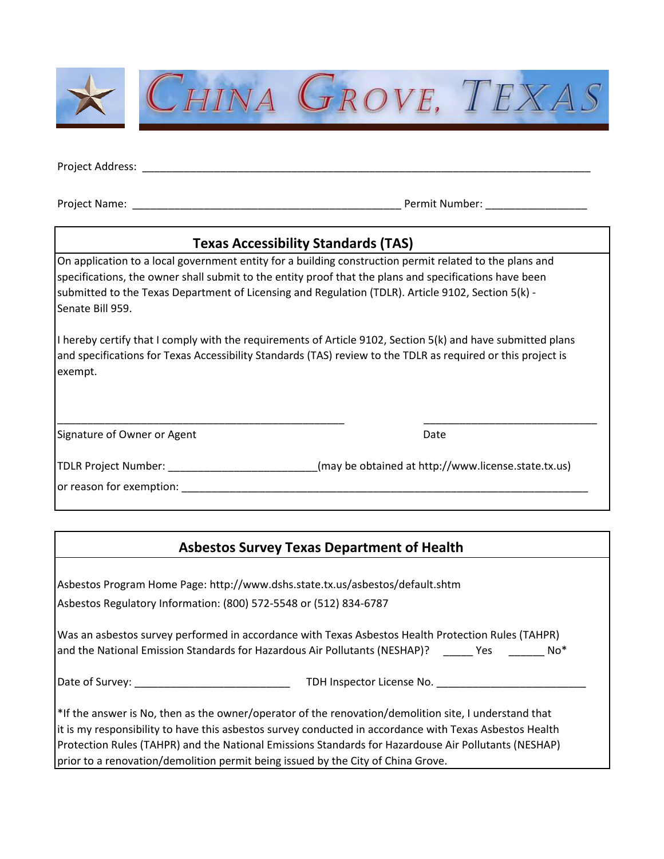

Project Address: \_\_\_\_\_\_\_\_\_\_\_\_\_\_\_\_\_\_\_\_\_\_\_\_\_\_\_\_\_\_\_\_\_\_\_\_\_\_\_\_\_\_\_\_\_\_\_\_\_\_\_\_\_\_\_\_\_\_\_\_\_\_\_\_\_\_\_\_\_\_\_\_\_\_\_

Project Name: \_\_\_\_\_\_\_\_\_\_\_\_\_\_\_\_\_\_\_\_\_\_\_\_\_\_\_\_\_\_\_\_\_\_\_\_\_\_\_\_\_\_\_\_\_ Permit Number: \_\_\_\_\_\_\_\_\_\_\_\_\_\_\_\_\_

## **Texas Accessibility Standards (TAS)**

On application to a local government entity for a building construction permit related to the plans and specifications, the owner shall submit to the entity proof that the plans and specifications have been submitted to the Texas Department of Licensing and Regulation (TDLR). Article 9102, Section 5(k) - Senate Bill 959.

I hereby certify that I comply with the requirements of Article 9102, Section 5(k) and have submitted plans and specifications for Texas Accessibility Standards (TAS) review to the TDLR as required or this project is exempt.

Signature of Owner or Agent Date Date Date Date

TDLR Project Number: \_\_\_\_\_\_\_\_\_\_\_\_\_\_\_\_\_\_\_\_\_\_\_\_\_(may be obtained at http://www.license.state.tx.us)

\_\_\_\_\_\_\_\_\_\_\_\_\_\_\_\_\_\_\_\_\_\_\_\_\_\_\_\_\_\_\_\_\_\_\_\_\_\_\_\_\_\_\_\_\_\_\_\_ \_\_\_\_\_\_\_\_\_\_\_\_\_\_\_\_\_\_\_\_\_\_\_\_\_\_\_\_\_

or reason for exemption: **with a set of the set of the set of the set of the set of the set of the set of the set of the set of the set of the set of the set of the set of the set of the set of the set of the set of the se** 

## **Asbestos Survey Texas Department of Health**

| Asbestos Program Home Page: http://www.dshs.state.tx.us/asbestos/default.shtm                                                                                                                                                                                                                                               |
|-----------------------------------------------------------------------------------------------------------------------------------------------------------------------------------------------------------------------------------------------------------------------------------------------------------------------------|
| Asbestos Regulatory Information: (800) 572-5548 or (512) 834-6787                                                                                                                                                                                                                                                           |
| Was an asbestos survey performed in accordance with Texas Asbestos Health Protection Rules (TAHPR)<br>and the National Emission Standards for Hazardous Air Pollutants (NESHAP)? The Stes<br>No*                                                                                                                            |
|                                                                                                                                                                                                                                                                                                                             |
| $*$ If the answer is No, then as the owner/operator of the renovation/demolition site, I understand that<br>it is my responsibility to have this asbestos survey conducted in accordance with Texas Asbestos Health<br>Protection Rules (TAHPR) and the National Emissions Standards for Hazardouse Air Pollutants (NESHAP) |

prior to a renovation/demolition permit being issued by the City of China Grove.